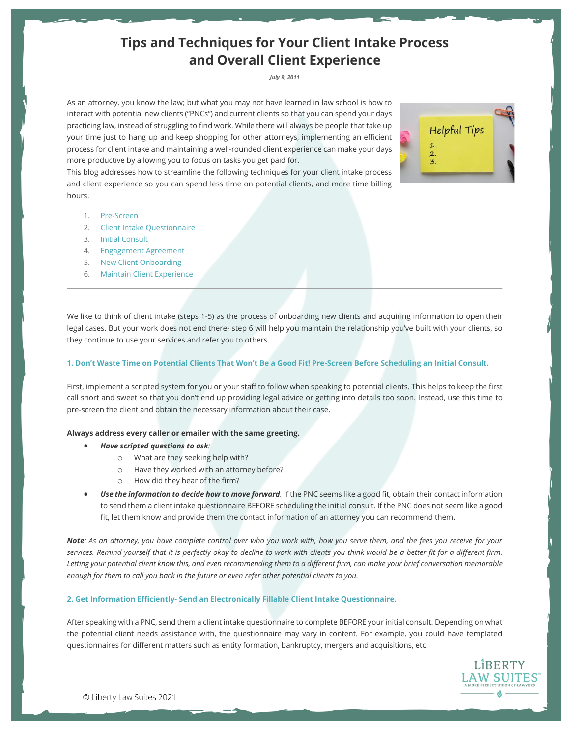# **Tips and Techniques for Your Client Intake Process and Overall Client Experience**

#### *July 9, 2011*

As an attorney, you know the law; but what you may not have learned in law school is how to interact with potential new clients ("PNCs") and current clients so that you can spend your days practicing law, instead of struggling to find work. While there will always be people that take up your time just to hang up and keep shopping for other attorneys, implementing an efficient process for client intake and maintaining a well-rounded client experience can make your days more productive by allowing you to focus on tasks you get paid for.

This blog addresses how to streamline the following techniques for your client intake process and client experience so you can spend less time on potential clients, and more time billing hours.

- 1. Pre-Screen
- 2. Client Intake Questionnaire
- 3. Initial Consult
- 4. Engagement Agreement
- 5. New Client Onboarding
- 6. Maintain Client Experience

We like to think of client intake (steps 1-5) as the process of onboarding new clients and acquiring information to open their legal cases. But your work does not end there- step 6 will help you maintain the relationship you've built with your clients, so they continue to use your services and refer you to others.

## **1. Don't Waste Time on Potential Clients That Won't Be a Good Fit! Pre-Screen Before Scheduling an Initial Consult.**

First, implement a scripted system for you or your staff to follow when speaking to potential clients. This helps to keep the first call short and sweet so that you don't end up providing legal advice or getting into details too soon. Instead, use this time to pre-screen the client and obtain the necessary information about their case.

#### **Always address every caller or emailer with the same greeting.**

- *Have scripted questions to ask:*
	- o What are they seeking help with?
	- o Have they worked with an attorney before?
	- o How did they hear of the firm?
- *Use the information to decide how to move forward.* If the PNC seems like a good fit, obtain their contact information to send them a client intake questionnaire BEFORE scheduling the initial consult. If the PNC does not seem like a good fit, let them know and provide them the contact information of an attorney you can recommend them.

*Note: As an attorney, you have complete control over who you work with, how you serve them, and the fees you receive for your services. Remind yourself that it is perfectly okay to decline to work with clients you think would be a better fit for a different firm. Letting your potential client know this, and even recommending them to a different firm, can make your brief conversation memorable enough for them to call you back in the future or even refer other potential clients to you.*

# **2. Get Information Efficiently- Send an Electronically Fillable Client Intake Questionnaire.**

After speaking with a PNC, send them a client intake questionnaire to complete BEFORE your initial consult. Depending on what the potential client needs assistance with, the questionnaire may vary in content. For example, you could have templated questionnaires for different matters such as entity formation, bankruptcy, mergers and acquisitions, etc.



LIBERTY AW SUITES

**Helpful Tips** 

© Liberty Law Suites 2021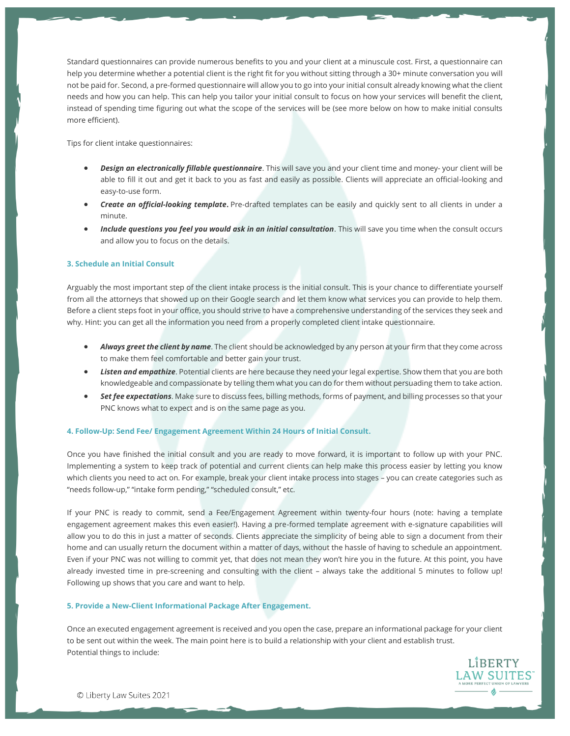Standard questionnaires can provide numerous benefits to you and your client at a minuscule cost. First, a questionnaire can help you determine whether a potential client is the right fit for you without sitting through a 30+ minute conversation you will not be paid for. Second, a pre-formed questionnaire will allow you to go into your initial consult already knowing what the client needs and how you can help. This can help you tailor your initial consult to focus on how your services will benefit the client, instead of spending time figuring out what the scope of the services will be (see more below on how to make initial consults more efficient).

Tips for client intake questionnaires:

- *Design an electronically fillable questionnaire*. This will save you and your client time and money- your client will be able to fill it out and get it back to you as fast and easily as possible. Clients will appreciate an official-looking and easy-to-use form.
- *Create an official-looking template***.** Pre-drafted templates can be easily and quickly sent to all clients in under a minute.
- *Include questions you feel you would ask in an initial consultation*. This will save you time when the consult occurs and allow you to focus on the details.

# **3. Schedule an Initial Consult**

Arguably the most important step of the client intake process is the initial consult. This is your chance to differentiate yourself from all the attorneys that showed up on their Google search and let them know what services you can provide to help them. Before a client steps foot in your office, you should strive to have a comprehensive understanding of the services they seek and why. Hint: you can get all the information you need from a properly completed client intake questionnaire.

- *Always greet the client by name*. The client should be acknowledged by any person at your firm that they come across to make them feel comfortable and better gain your trust.
- *Listen and empathize*. Potential clients are here because they need your legal expertise. Show them that you are both knowledgeable and compassionate by telling them what you can do for them without persuading them to take action.
- *Set fee expectations*. Make sure to discuss fees, billing methods, forms of payment, and billing processes so that your PNC knows what to expect and is on the same page as you.

## **4. Follow-Up: Send Fee/ Engagement Agreement Within 24 Hours of Initial Consult.**

Once you have finished the initial consult and you are ready to move forward, it is important to follow up with your PNC. Implementing a system to keep track of potential and current clients can help make this process easier by letting you know which clients you need to act on. For example, break your client intake process into stages – you can create categories such as "needs follow-up," "intake form pending," "scheduled consult," etc.

If your PNC is ready to commit, send a Fee/Engagement Agreement within twenty-four hours (note: having a template engagement agreement makes this even easier!). Having a pre-formed template agreement with e-signature capabilities will allow you to do this in just a matter of seconds. Clients appreciate the simplicity of being able to sign a document from their home and can usually return the document within a matter of days, without the hassle of having to schedule an appointment. Even if your PNC was not willing to commit yet, that does not mean they won't hire you in the future. At this point, you have already invested time in pre-screening and consulting with the client – always take the additional 5 minutes to follow up! Following up shows that you care and want to help.

## **5. Provide a New-Client Informational Package After Engagement.**

Once an executed engagement agreement is received and you open the case, prepare an informational package for your client to be sent out within the week. The main point here is to build a relationship with your client and establish trust. Potential things to include: